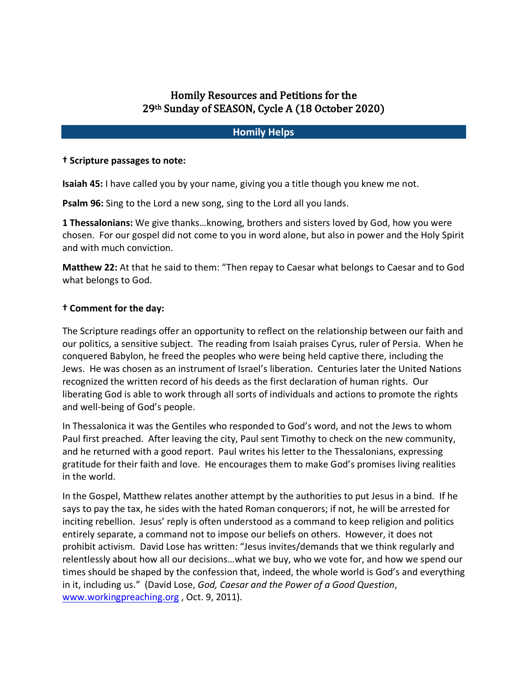# Homily Resources and Petitions for the 29th Sunday of SEASON, Cycle A (18 October 2020)

## **Homily Helps**

#### **† Scripture passages to note:**

**Isaiah 45:** I have called you by your name, giving you a title though you knew me not.

**Psalm 96:** Sing to the Lord a new song, sing to the Lord all you lands.

**1 Thessalonians:** We give thanks…knowing, brothers and sisters loved by God, how you were chosen. For our gospel did not come to you in word alone, but also in power and the Holy Spirit and with much conviction.

**Matthew 22:** At that he said to them: "Then repay to Caesar what belongs to Caesar and to God what belongs to God.

#### **† Comment for the day:**

The Scripture readings offer an opportunity to reflect on the relationship between our faith and our politics, a sensitive subject. The reading from Isaiah praises Cyrus, ruler of Persia. When he conquered Babylon, he freed the peoples who were being held captive there, including the Jews. He was chosen as an instrument of Israel's liberation. Centuries later the United Nations recognized the written record of his deeds as the first declaration of human rights. Our liberating God is able to work through all sorts of individuals and actions to promote the rights and well-being of God's people.

In Thessalonica it was the Gentiles who responded to God's word, and not the Jews to whom Paul first preached. After leaving the city, Paul sent Timothy to check on the new community, and he returned with a good report. Paul writes his letter to the Thessalonians, expressing gratitude for their faith and love. He encourages them to make God's promises living realities in the world.

In the Gospel, Matthew relates another attempt by the authorities to put Jesus in a bind. If he says to pay the tax, he sides with the hated Roman conquerors; if not, he will be arrested for inciting rebellion. Jesus' reply is often understood as a command to keep religion and politics entirely separate, a command not to impose our beliefs on others. However, it does not prohibit activism. David Lose has written: "Jesus invites/demands that we think regularly and relentlessly about how all our decisions…what we buy, who we vote for, and how we spend our times should be shaped by the confession that, indeed, the whole world is God's and everything in it, including us." (David Lose, *God, Caesar and the Power of a Good Question*, www.workingpreaching.org , Oct. 9, 2011).